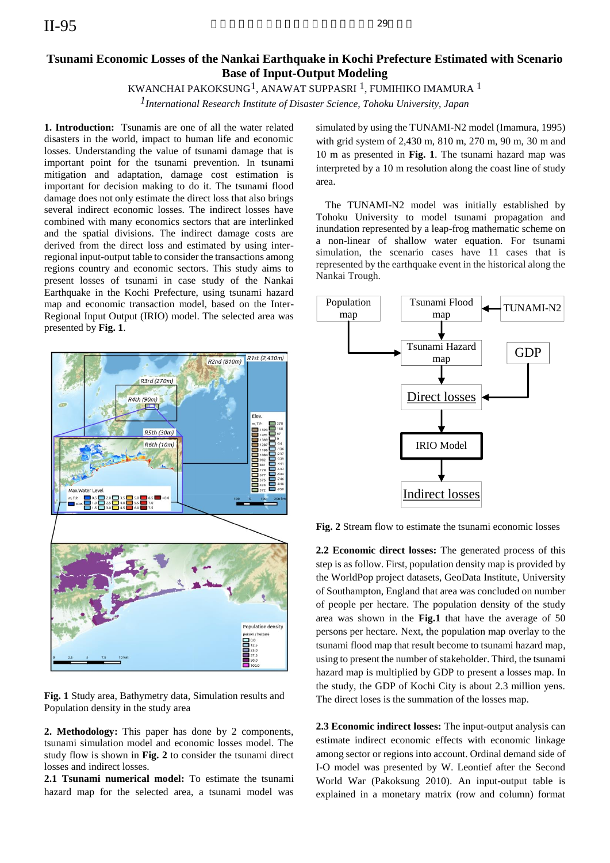# **Tsunami Economic Losses of the Nankai Earthquake in Kochi Prefecture Estimated with Scenario Base of Input-Output Modeling**

# KWANCHAI PAKOKSUNG1, ANAWAT SUPPASRI 1, FUMIHIKO IMAMURA 1

*1International Research Institute of Disaster Science, Tohoku University, Japan* 

**1. Introduction:** Tsunamis are one of all the water related disasters in the world, impact to human life and economic losses. Understanding the value of tsunami damage that is important point for the tsunami prevention. In tsunami mitigation and adaptation, damage cost estimation is important for decision making to do it. The tsunami flood damage does not only estimate the direct loss that also brings several indirect economic losses. The indirect losses have combined with many economics sectors that are interlinked and the spatial divisions. The indirect damage costs are derived from the direct loss and estimated by using interregional input-output table to consider the transactions among regions country and economic sectors. This study aims to present losses of tsunami in case study of the Nankai Earthquake in the Kochi Prefecture, using tsunami hazard map and economic transaction model, based on the Inter-Regional Input Output (IRIO) model. The selected area was presented by **Fig. 1**.



**Fig. 1** Study area, Bathymetry data, Simulation results and Population density in the study area

**2. Methodology:** This paper has done by 2 components, tsunami simulation model and economic losses model. The study flow is shown in **Fig. 2** to consider the tsunami direct losses and indirect losses.

**2.1 Tsunami numerical model:** To estimate the tsunami hazard map for the selected area, a tsunami model was simulated by using the TUNAMI-N2 model (Imamura, 1995) with grid system of 2,430 m, 810 m, 270 m, 90 m, 30 m and 10 m as presented in **Fig. 1**. The tsunami hazard map was interpreted by a 10 m resolution along the coast line of study area.

The TUNAMI-N2 model was initially established by Tohoku University to model tsunami propagation and inundation represented by a leap-frog mathematic scheme on a non-linear of shallow water equation. For tsunami simulation, the scenario cases have 11 cases that is represented by the earthquake event in the historical along the Nankai Trough.



**Fig. 2** Stream flow to estimate the tsunami economic losses

**2.2 Economic direct losses:** The generated process of this step is as follow. First, population density map is provided by the WorldPop project datasets, GeoData Institute, University of Southampton, England that area was concluded on number of people per hectare. The population density of the study area was shown in the **Fig.1** that have the average of 50 persons per hectare. Next, the population map overlay to the tsunami flood map that result become to tsunami hazard map, using to present the number of stakeholder. Third, the tsunami hazard map is multiplied by GDP to present a losses map. In the study, the GDP of Kochi City is about 2.3 million yens. The direct loses is the summation of the losses map.

**2.3 Economic indirect losses:** The input-output analysis can estimate indirect economic effects with economic linkage among sector or regions into account. Ordinal demand side of I-O model was presented by W. Leontief after the Second World War (Pakoksung 2010). An input-output table is